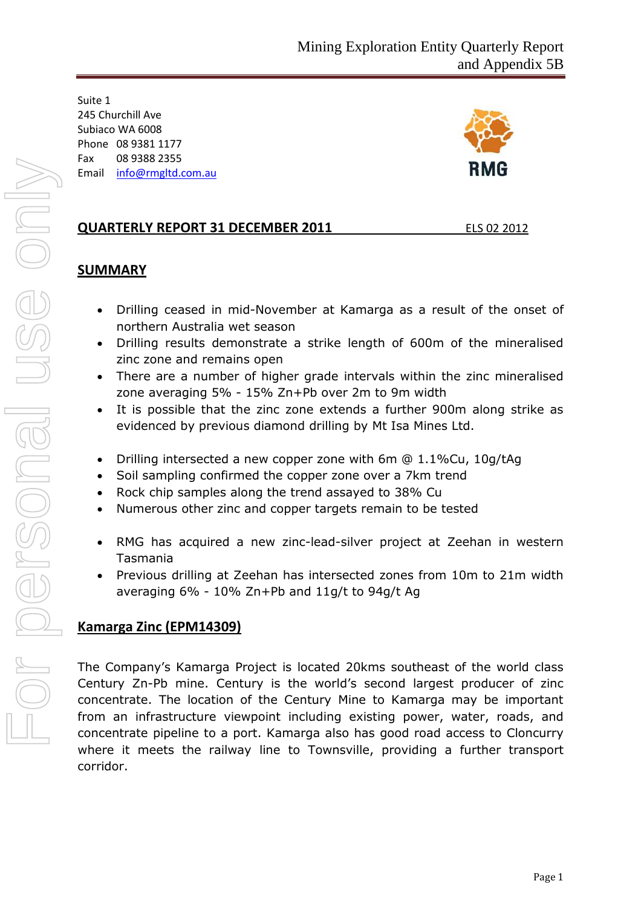Suite 1 245 Churchill Ave Subiaco WA 6008 Phone 08 9381 1177 Fax 08 9388 2355 Email [info@rmgltd.com.au](mailto:info@rmgltd.com.au)



## **QUARTERLY REPORT 31 DECEMBER 2011** ELS 02 2012

### **SUMMARY**

- Drilling ceased in mid-November at Kamarga as a result of the onset of northern Australia wet season
- Drilling results demonstrate a strike length of 600m of the mineralised zinc zone and remains open
- There are a number of higher grade intervals within the zinc mineralised zone averaging 5% - 15% Zn+Pb over 2m to 9m width
- It is possible that the zinc zone extends a further 900m along strike as evidenced by previous diamond drilling by Mt Isa Mines Ltd.
- Drilling intersected a new copper zone with 6m @ 1.1%Cu, 10g/tAg
- Soil sampling confirmed the copper zone over a 7km trend
- Rock chip samples along the trend assayed to 38% Cu
- Numerous other zinc and copper targets remain to be tested
- RMG has acquired a new zinc-lead-silver project at Zeehan in western Tasmania
- Previous drilling at Zeehan has intersected zones from 10m to 21m width averaging 6% - 10% Zn+Pb and 11g/t to 94g/t Ag

## **Kamarga Zinc (EPM14309)**

The Company's Kamarga Project is located 20kms southeast of the world class Century Zn-Pb mine. Century is the world's second largest producer of zinc concentrate. The location of the Century Mine to Kamarga may be important from an infrastructure viewpoint including existing power, water, roads, and concentrate pipeline to a port. Kamarga also has good road access to Cloncurry where it meets the railway line to Townsville, providing a further transport corridor.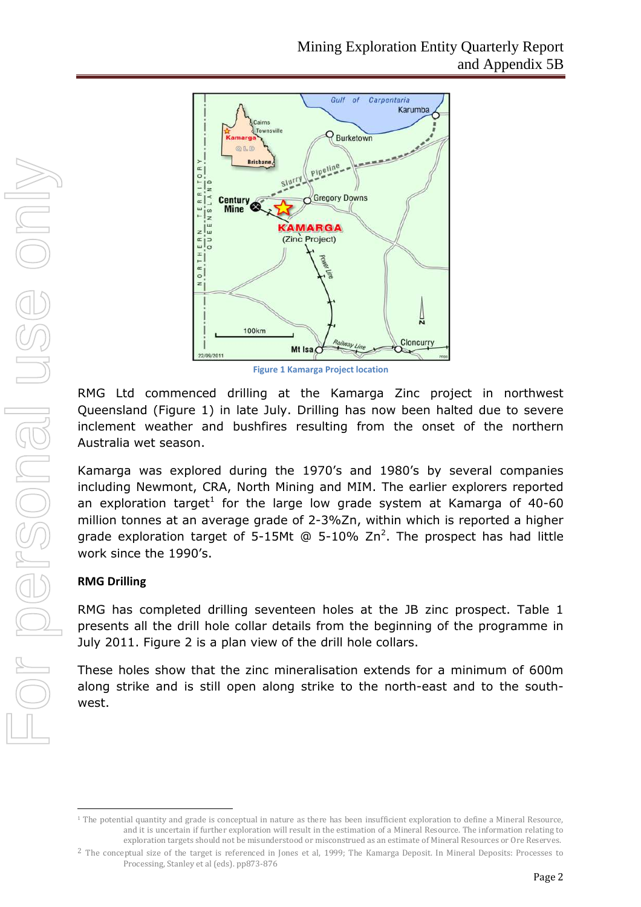

**Figure 1 Kamarga Project location**

RMG Ltd commenced drilling at the Kamarga Zinc project in northwest Queensland (Figure 1) in late July. Drilling has now been halted due to severe inclement weather and bushfires resulting from the onset of the northern Australia wet season.

Kamarga was explored during the 1970's and 1980's by several companies including Newmont, CRA, North Mining and MIM. The earlier explorers reported an exploration target<sup>[1](#page-1-0)</sup> for the large low grade system at Kamarga of 40-60 million tonnes at an average grade of 2-3%Zn, within which is reported a higher grade exploration target of 5-15Mt @ 5-10%  $Zn^2$ [.](#page-1-1) The prospect has had little work since the 1990's.

### **RMG Drilling**

RMG has completed drilling seventeen holes at the JB zinc prospect. Table 1 presents all the drill hole collar details from the beginning of the programme in July 2011. Figure 2 is a plan view of the drill hole collars.

These holes show that the zinc mineralisation extends for a minimum of 600m along strike and is still open along strike to the north-east and to the southwest.

<span id="page-1-0"></span><sup>&</sup>lt;sup>1</sup> The potential quantity and grade is conceptual in nature as there has been insufficient exploration to define a Mineral Resource, and it is uncertain if further exploration will result in the estimation of a Mineral Resource. The information relating to exploration targets should not be misunderstood or misconstrued as an estimate of Mineral Resources or Ore Reserves.

<span id="page-1-1"></span><sup>&</sup>lt;sup>2</sup> The conceptual size of the target is referenced in Jones et al, 1999; The Kamarga Deposit. In Mineral Deposits: Processes to Processing, Stanley et al (eds). pp873-876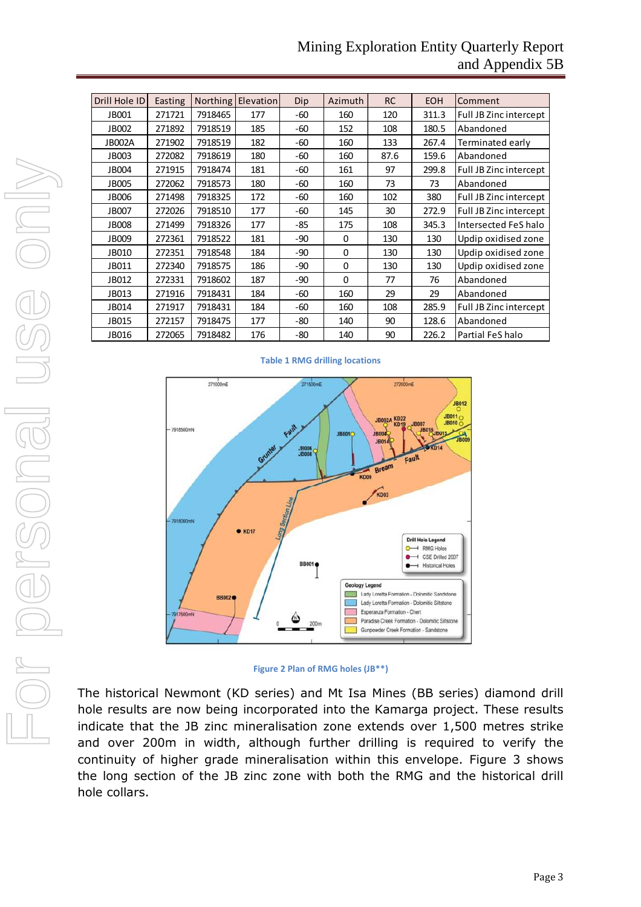## Mining Exploration Entity Quarterly Report and Appendix 5B

| Drill Hole ID | Easting | <b>Northing</b> | Elevation | Dip   | Azimuth  | <b>RC</b> | <b>EOH</b> | Comment                |
|---------------|---------|-----------------|-----------|-------|----------|-----------|------------|------------------------|
| JB001         | 271721  | 7918465         | 177       | -60   | 160      | 120       | 311.3      | Full JB Zinc intercept |
| <b>JB002</b>  | 271892  | 7918519         | 185       | -60   | 152      | 108       | 180.5      | Abandoned              |
| <b>JB002A</b> | 271902  | 7918519         | 182       | $-60$ | 160      | 133       | 267.4      | Terminated early       |
| <b>JB003</b>  | 272082  | 7918619         | 180       | $-60$ | 160      | 87.6      | 159.6      | Abandoned              |
| <b>JB004</b>  | 271915  | 7918474         | 181       | $-60$ | 161      | 97        | 299.8      | Full JB Zinc intercept |
| <b>JB005</b>  | 272062  | 7918573         | 180       | $-60$ | 160      | 73        | 73         | Abandoned              |
| <b>JB006</b>  | 271498  | 7918325         | 172       | $-60$ | 160      | 102       | 380        | Full JB Zinc intercept |
| <b>JB007</b>  | 272026  | 7918510         | 177       | $-60$ | 145      | 30        | 272.9      | Full JB Zinc intercept |
| <b>JB008</b>  | 271499  | 7918326         | 177       | -85   | 175      | 108       | 345.3      | Intersected FeS halo   |
| JB009         | 272361  | 7918522         | 181       | $-90$ | $\Omega$ | 130       | 130        | Updip oxidised zone    |
| JB010         | 272351  | 7918548         | 184       | $-90$ | $\Omega$ | 130       | 130        | Updip oxidised zone    |
| JB011         | 272340  | 7918575         | 186       | $-90$ | $\Omega$ | 130       | 130        | Updip oxidised zone    |
| JB012         | 272331  | 7918602         | 187       | $-90$ | $\Omega$ | 77        | 76         | Abandoned              |
| JB013         | 271916  | 7918431         | 184       | $-60$ | 160      | 29        | 29         | Abandoned              |
| JB014         | 271917  | 7918431         | 184       | $-60$ | 160      | 108       | 285.9      | Full JB Zinc intercept |
| JB015         | 272157  | 7918475         | 177       | -80   | 140      | 90        | 128.6      | Abandoned              |
| JB016         | 272065  | 7918482         | 176       | -80   | 140      | 90        | 226.2      | Partial FeS halo       |





The historical Newmont (KD series) and Mt Isa Mines (BB series) diamond drill hole results are now being incorporated into the Kamarga project. These results indicate that the JB zinc mineralisation zone extends over 1,500 metres strike and over 200m in width, although further drilling is required to verify the continuity of higher grade mineralisation within this envelope. Figure 3 shows the long section of the JB zinc zone with both the RMG and the historical drill hole collars.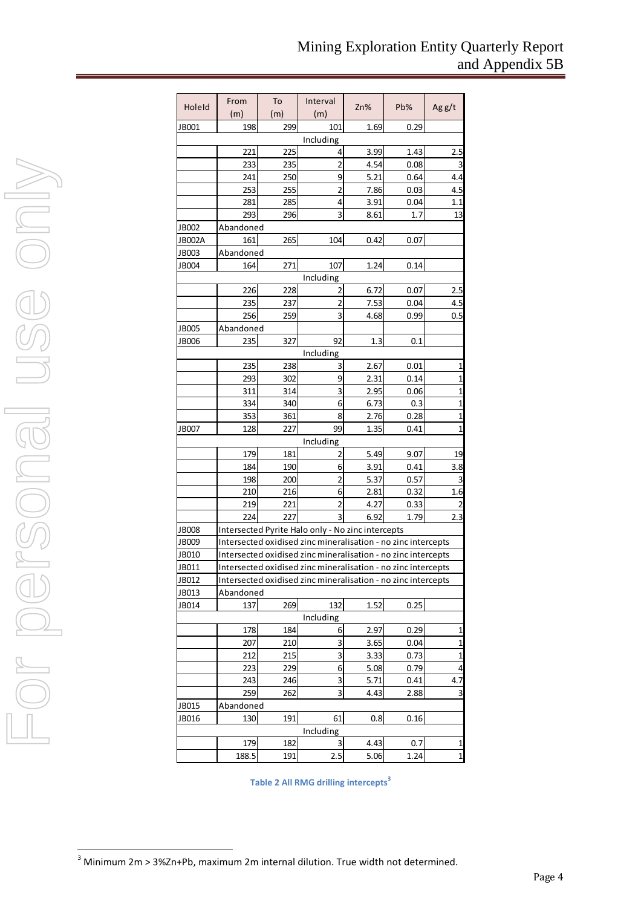| Holeld        | From      | To  | Interval                                                      | Zn%  | Pb%  | Agg/t          |
|---------------|-----------|-----|---------------------------------------------------------------|------|------|----------------|
|               | (m)       | (m) | (m)                                                           |      |      |                |
| JB001         | 198       | 299 | 101                                                           | 1.69 | 0.29 |                |
|               |           |     | Including                                                     |      |      |                |
|               | 221       | 225 | 4                                                             | 3.99 | 1.43 | 2.5            |
|               | 233       | 235 | 2                                                             | 4.54 | 0.08 | 3              |
|               | 241       | 250 | 9                                                             | 5.21 | 0.64 | 4.4            |
|               | 253       | 255 | $\overline{2}$                                                | 7.86 | 0.03 | 4.5            |
|               | 281       | 285 | 4                                                             | 3.91 | 0.04 | 1.1            |
|               | 293       | 296 | 3                                                             | 8.61 | 1.7  | 13             |
| JB002         | Abandoned |     |                                                               |      |      |                |
| <b>JB002A</b> | 161       | 265 | 104                                                           | 0.42 | 0.07 |                |
| JB003         | Abandoned |     |                                                               |      |      |                |
| JB004         | 164       | 271 | 107                                                           | 1.24 | 0.14 |                |
|               |           |     | Including                                                     |      |      |                |
|               | 226       | 228 | 2                                                             | 6.72 | 0.07 | 2.5            |
|               | 235       | 237 | 2                                                             | 7.53 | 0.04 | 4.5            |
|               | 256       | 259 | 3                                                             | 4.68 | 0.99 | 0.5            |
| JB005         | Abandoned |     |                                                               |      |      |                |
| JB006         | 235       | 327 | 92                                                            | 1.3  | 0.1  |                |
|               |           |     | Including                                                     |      |      |                |
|               | 235       | 238 | 3                                                             | 2.67 | 0.01 | 1              |
|               | 293       | 302 | 9                                                             | 2.31 | 0.14 | $\overline{1}$ |
|               | 311       | 314 | 3                                                             | 2.95 | 0.06 | $\overline{1}$ |
|               | 334       | 340 | 6                                                             | 6.73 | 0.3  | 1              |
|               | 353       | 361 | 8                                                             | 2.76 | 0.28 | 1              |
| JB007         | 128       | 227 | 99                                                            | 1.35 | 0.41 | 1              |
|               |           |     | Including                                                     |      |      |                |
|               | 179       | 181 | 2                                                             | 5.49 | 9.07 | 19             |
|               | 184       | 190 | 6                                                             | 3.91 | 0.41 | 3.8            |
|               | 198       | 200 | 2                                                             | 5.37 | 0.57 | 3              |
|               | 210       | 216 | 6                                                             | 2.81 | 0.32 | 1.6            |
|               | 219       | 221 | 2                                                             | 4.27 | 0.33 |                |
|               | 224       | 227 | $\overline{3}$                                                | 6.92 | 1.79 | 2.3            |
| <b>JB008</b>  |           |     | Intersected Pyrite Halo only - No zinc intercepts             |      |      |                |
| <b>JB009</b>  |           |     | Intersected oxidised zinc mineralisation - no zinc intercepts |      |      |                |
| JB010         |           |     | Intersected oxidised zinc mineralisation - no zinc intercepts |      |      |                |
| JB011         |           |     | Intersected oxidised zinc mineralisation - no zinc intercepts |      |      |                |
| JB012         |           |     | Intersected oxidised zinc mineralisation - no zinc intercepts |      |      |                |
| JB013         | Abandoned |     |                                                               |      |      |                |
| JB014         | 137       | 269 | 132                                                           | 1.52 | 0.25 |                |
|               |           |     | Including                                                     |      |      |                |
|               | 178       | 184 | $6 \mid$                                                      | 2.97 | 0.29 | 1              |
|               | 207       | 210 | $\overline{\mathbf{3}}$                                       | 3.65 | 0.04 | 1              |
|               | 212       | 215 | 3                                                             | 3.33 | 0.73 | 1              |
|               | 223       | 229 | $6 \mid$                                                      | 5.08 | 0.79 | 4              |
|               | 243       | 246 | 3                                                             | 5.71 | 0.41 | 4.7            |
|               | 259       | 262 | 3                                                             | 4.43 | 2.88 | 3              |
| JB015         | Abandoned |     |                                                               |      |      |                |
| JB016         | 130       | 191 | 61                                                            | 0.8  | 0.16 |                |
|               |           |     | Including                                                     |      |      |                |
|               | 179       | 182 | 3                                                             | 4.43 | 0.7  | 1              |
|               | 188.5     | 191 | 2.5                                                           | 5.06 | 1.24 | $\mathbf{1}$   |

**Table 2 All RMG drilling intercepts[3](#page-3-0)**

<span id="page-3-0"></span> $3$  Minimum 2m > 3%Zn+Pb, maximum 2m internal dilution. True width not determined.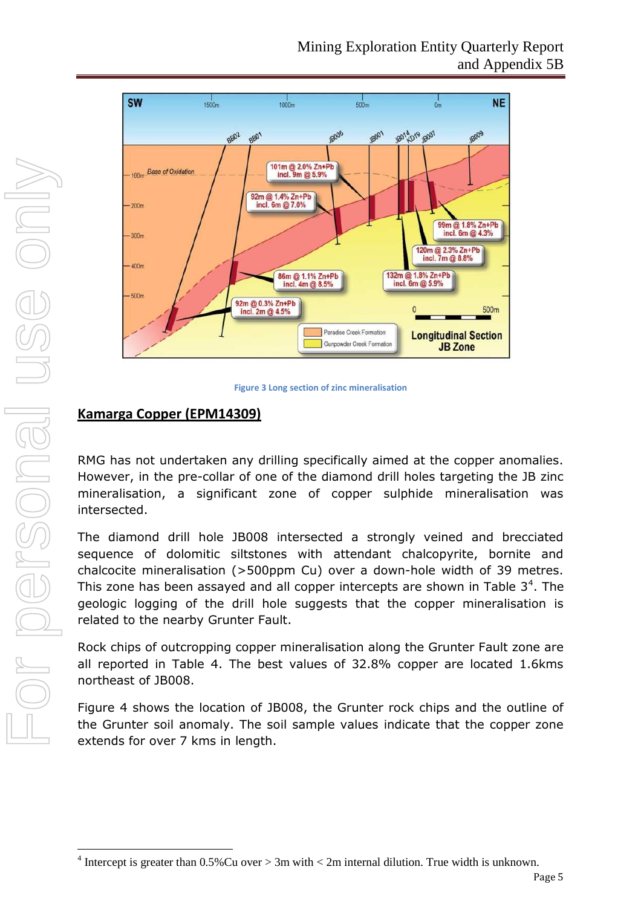

**Figure 3 Long section of zinc mineralisation**

## **Kamarga Copper (EPM14309)**

RMG has not undertaken any drilling specifically aimed at the copper anomalies. However, in the pre-collar of one of the diamond drill holes targeting the JB zinc mineralisation, a significant zone of copper sulphide mineralisation was intersected.

The diamond drill hole JB008 intersected a strongly veined and brecciated sequence of dolomitic siltstones with attendant chalcopyrite, bornite and chalcocite mineralisation (>500ppm Cu) over a down-hole width of 39 metres. This zone has been assayed and all copper intercepts are shown in Table  $3<sup>4</sup>$ . The geologic logging of the drill hole suggests that the copper mineralisation is related to the nearby Grunter Fault.

Rock chips of outcropping copper mineralisation along the Grunter Fault zone are all reported in Table 4. The best values of 32.8% copper are located 1.6kms northeast of JB008.

Figure 4 shows the location of JB008, the Grunter rock chips and the outline of the Grunter soil anomaly. The soil sample values indicate that the copper zone extends for over 7 kms in length.

<span id="page-4-0"></span><sup>&</sup>lt;sup>4</sup> Intercept is greater than  $0.5\%$ Cu over  $> 3$ m with  $< 2$ m internal dilution. True width is unknown.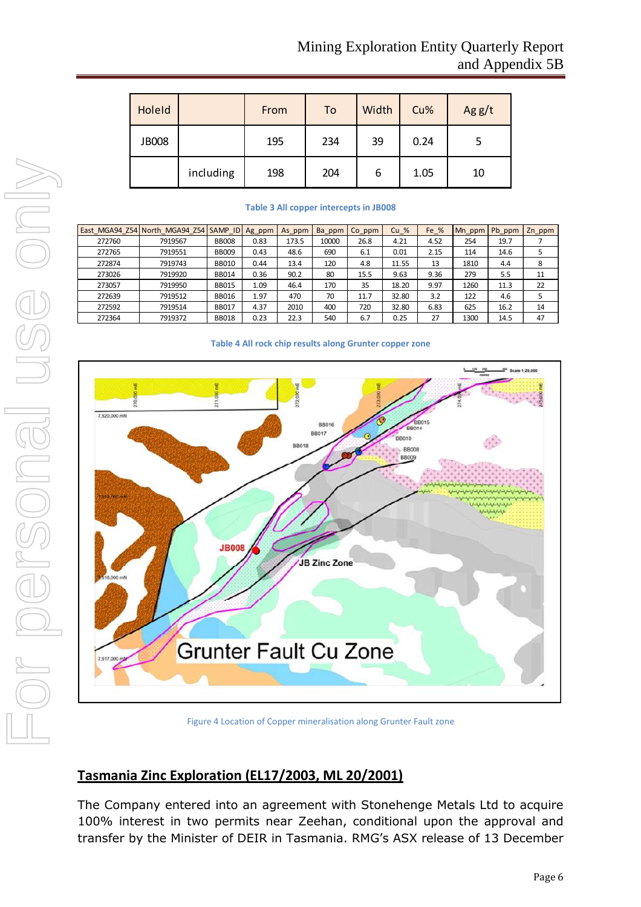| HoleId       |           | From | To  | Width | Cu%  | Agg/t |
|--------------|-----------|------|-----|-------|------|-------|
| <b>JB008</b> |           | 195  | 234 | 39    | 0.24 |       |
|              | including | 198  | 204 | 6     | 1.05 | 10    |

#### **Table 3 All copper intercepts in JB008**

|        | East MGA94 Z54 North MGA94 Z54 SAMP ID Ag ppm |              |      | As ppm | Ba ppm | Co ppm | $Cu$ % | Fe % | Mn ppm | Pb ppm | Zn ppm |
|--------|-----------------------------------------------|--------------|------|--------|--------|--------|--------|------|--------|--------|--------|
| 272760 | 7919567                                       | <b>BB008</b> | 0.83 | 173.5  | 10000  | 26.8   | 4.21   | 4.52 | 254    | 19.7   |        |
| 272765 | 7919551                                       | <b>BB009</b> | 0.43 | 48.6   | 690    | 6.1    | 0.01   | 2.15 | 114    | 14.6   |        |
| 272874 | 7919743                                       | <b>BB010</b> | 0.44 | 13.4   | 120    | 4.8    | 11.55  | 13   | 1810   | 4.4    | 8      |
| 273026 | 7919920                                       | <b>BB014</b> | 0.36 | 90.2   | 80     | 15.5   | 9.63   | 9.36 | 279    | 5.5    | 11     |
| 273057 | 7919950                                       | <b>BB015</b> | 1.09 | 46.4   | 170    | 35     | 18.20  | 9.97 | 1260   | 11.3   | 22     |
| 272639 | 7919512                                       | <b>BB016</b> | 1.97 | 470    | 70     | 11.7   | 32.80  | 3.2  | 122    | 4.6    |        |
| 272592 | 7919514                                       | <b>BB017</b> | 4.37 | 2010   | 400    | 720    | 32.80  | 6.83 | 625    | 16.2   | 14     |
| 272364 | 7919372                                       | <b>BB018</b> | 0.23 | 22.3   | 540    | 6.7    | 0.25   | 27   | 1300   | 14.5   | 47     |

#### **Table 4 All rock chip results along Grunter copper zone**



Figure 4 Location of Copper mineralisation along Grunter Fault zone

## **Tasmania Zinc Exploration (EL17/2003, ML 20/2001)**

The Company entered into an agreement with Stonehenge Metals Ltd to acquire 100% interest in two permits near Zeehan, conditional upon the approval and transfer by the Minister of DEIR in Tasmania. RMG's ASX release of 13 December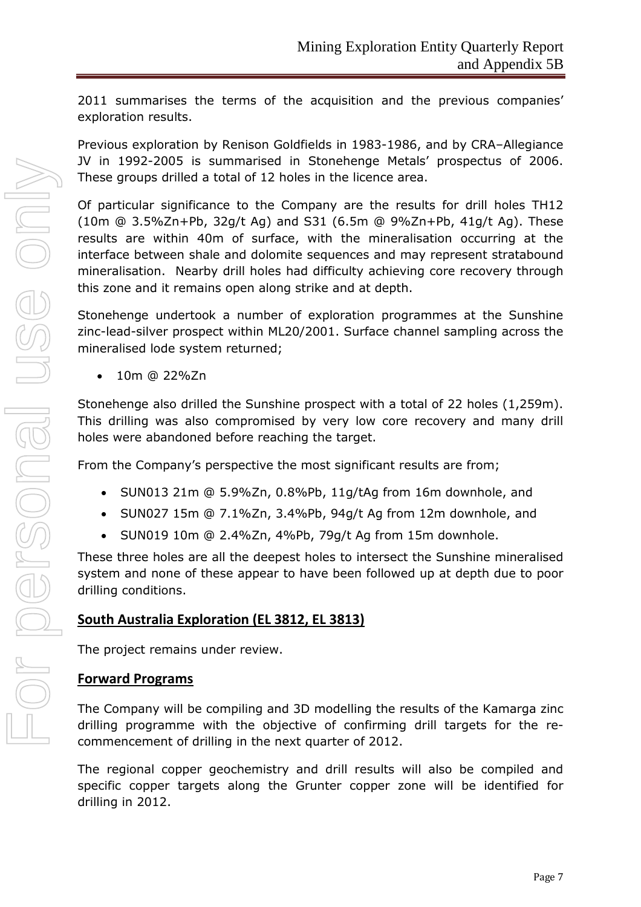2011 summarises the terms of the acquisition and the previous companies' exploration results.

Previous exploration by Renison Goldfields in 1983-1986, and by CRA–Allegiance JV in 1992-2005 is summarised in Stonehenge Metals' prospectus of 2006. These groups drilled a total of 12 holes in the licence area.

Of particular significance to the Company are the results for drill holes TH12 (10m @ 3.5%Zn+Pb, 32g/t Ag) and S31 (6.5m @ 9%Zn+Pb, 41g/t Ag). These results are within 40m of surface, with the mineralisation occurring at the interface between shale and dolomite sequences and may represent stratabound mineralisation. Nearby drill holes had difficulty achieving core recovery through this zone and it remains open along strike and at depth.

Stonehenge undertook a number of exploration programmes at the Sunshine zinc-lead-silver prospect within ML20/2001. Surface channel sampling across the mineralised lode system returned;

 $\bullet$  10m @ 22%Zn

Stonehenge also drilled the Sunshine prospect with a total of 22 holes (1,259m). This drilling was also compromised by very low core recovery and many drill holes were abandoned before reaching the target.

From the Company's perspective the most significant results are from;

- SUN013 21m @ 5.9%Zn, 0.8%Pb, 11g/tAg from 16m downhole, and
- $\bullet$  SUN027 15m @ 7.1%Zn, 3.4%Pb, 94g/t Ag from 12m downhole, and
- SUN019 10m @ 2.4%Zn, 4%Pb, 79g/t Ag from 15m downhole.

These three holes are all the deepest holes to intersect the Sunshine mineralised system and none of these appear to have been followed up at depth due to poor drilling conditions.

## **South Australia Exploration (EL 3812, EL 3813)**

The project remains under review.

## **Forward Programs**

The Company will be compiling and 3D modelling the results of the Kamarga zinc drilling programme with the objective of confirming drill targets for the recommencement of drilling in the next quarter of 2012.

The regional copper geochemistry and drill results will also be compiled and specific copper targets along the Grunter copper zone will be identified for drilling in 2012.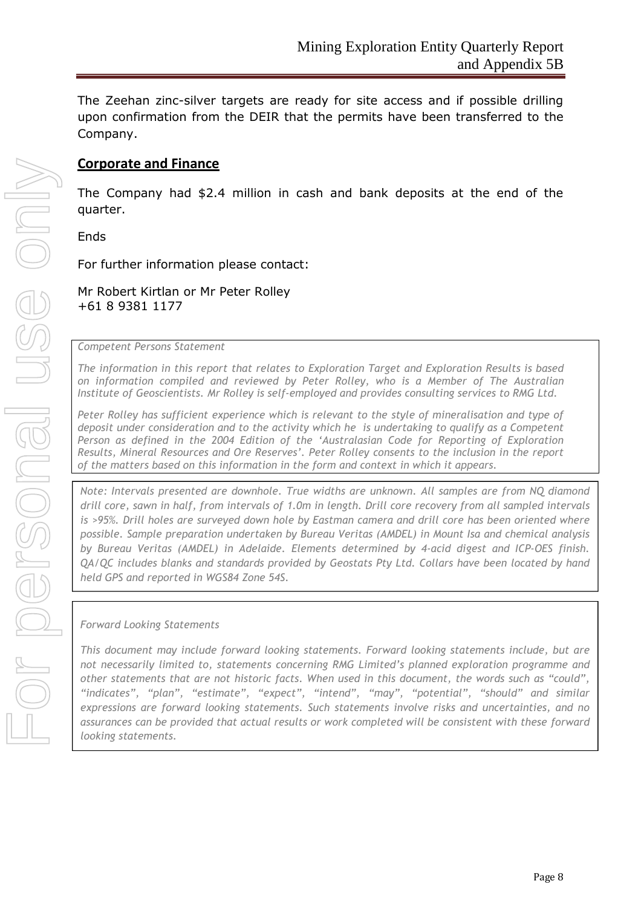The Zeehan zinc-silver targets are ready for site access and if possible drilling upon confirmation from the DEIR that the permits have been transferred to the Company.

### **Corporate and Finance**

The Company had \$2.4 million in cash and bank deposits at the end of the quarter.

Ends

For further information please contact:

Mr Robert Kirtlan or Mr Peter Rolley +61 8 9381 1177

#### *Competent Persons Statement*

*The information in this report that relates to Exploration Target and Exploration Results is based on information compiled and reviewed by Peter Rolley, who is a Member of The Australian Institute of Geoscientists. Mr Rolley is self-employed and provides consulting services to RMG Ltd.*

*Peter Rolley has sufficient experience which is relevant to the style of mineralisation and type of deposit under consideration and to the activity which he is undertaking to qualify as a Competent Person as defined in the 2004 Edition of the 'Australasian Code for Reporting of Exploration Results, Mineral Resources and Ore Reserves'. Peter Rolley consents to the inclusion in the report of the matters based on this information in the form and context in which it appears.*

*Note: Intervals presented are downhole. True widths are unknown. All samples are from NQ diamond drill core, sawn in half, from intervals of 1.0m in length. Drill core recovery from all sampled intervals is >95%. Drill holes are surveyed down hole by Eastman camera and drill core has been oriented where possible. Sample preparation undertaken by Bureau Veritas (AMDEL) in Mount Isa and chemical analysis by Bureau Veritas (AMDEL) in Adelaide. Elements determined by 4-acid digest and ICP-OES finish. QA/QC includes blanks and standards provided by Geostats Pty Ltd. Collars have been located by hand held GPS and reported in WGS84 Zone 54S.*

*Forward Looking Statements*

*This document may include forward looking statements. Forward looking statements include, but are not necessarily limited to, statements concerning RMG Limited's planned exploration programme and other statements that are not historic facts. When used in this document, the words such as "could", "indicates", "plan", "estimate", "expect", "intend", "may", "potential", "should" and similar expressions are forward looking statements. Such statements involve risks and uncertainties, and no assurances can be provided that actual results or work completed will be consistent with these forward looking statements.*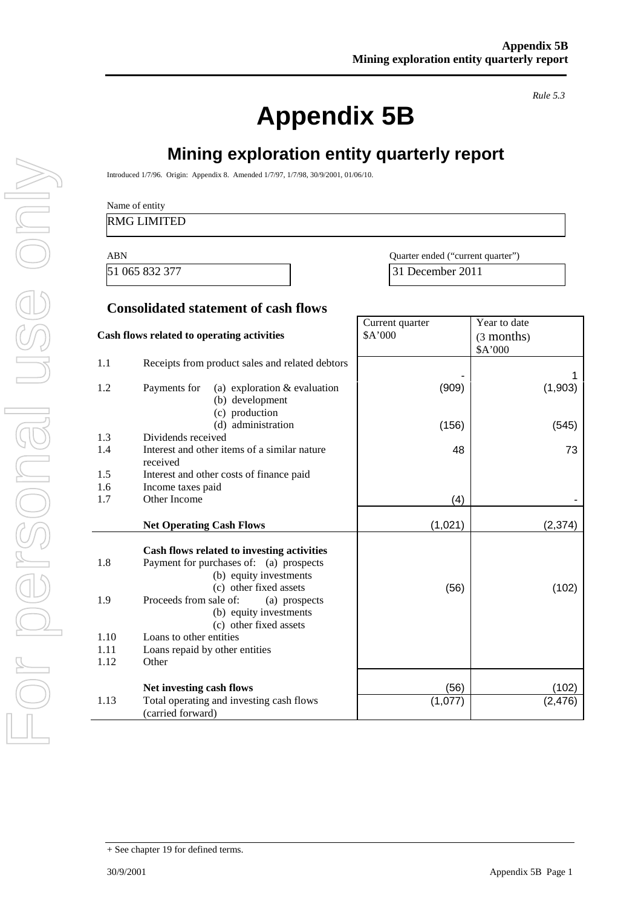**Appendix 5B**

*Rule 5.3*

# **Mining exploration entity quarterly report**

Introduced 1/7/96. Origin: Appendix 8. Amended 1/7/97, 1/7/98, 30/9/2001, 01/06/10.

#### RMG LIMITED

ABN Quarter ended ("current quarter") 51 065 832 377 31 December 2011

> Year to date (3 months)

Current quarter \$A'000

### **Consolidated statement of cash flows**

#### **Cash flows related to operating activities**

|                                    |                                                                                                                                                                                                                                                                                                                |         | \$A'000  |
|------------------------------------|----------------------------------------------------------------------------------------------------------------------------------------------------------------------------------------------------------------------------------------------------------------------------------------------------------------|---------|----------|
| 1.1                                | Receipts from product sales and related debtors                                                                                                                                                                                                                                                                |         | 1        |
| 1.2                                | Payments for<br>(a) exploration $&$ evaluation<br>(b) development<br>(c) production                                                                                                                                                                                                                            | (909)   | (1,903)  |
|                                    | (d) administration                                                                                                                                                                                                                                                                                             | (156)   | (545)    |
| 1.3                                | Dividends received                                                                                                                                                                                                                                                                                             |         |          |
| 1.4                                | Interest and other items of a similar nature<br>received                                                                                                                                                                                                                                                       | 48      | 73       |
| 1.5                                | Interest and other costs of finance paid                                                                                                                                                                                                                                                                       |         |          |
| 1.6                                | Income taxes paid                                                                                                                                                                                                                                                                                              |         |          |
| 1.7                                | Other Income                                                                                                                                                                                                                                                                                                   | (4)     |          |
|                                    | <b>Net Operating Cash Flows</b>                                                                                                                                                                                                                                                                                | (1,021) | (2, 374) |
| 1.8<br>1.9<br>1.10<br>1.11<br>1.12 | Cash flows related to investing activities<br>Payment for purchases of: (a) prospects<br>(b) equity investments<br>(c) other fixed assets<br>Proceeds from sale of:<br>(a) prospects<br>(b) equity investments<br>(c) other fixed assets<br>Loans to other entities<br>Loans repaid by other entities<br>Other | (56)    | (102)    |
|                                    | Net investing cash flows                                                                                                                                                                                                                                                                                       | (56)    | (102)    |
| 1.13                               | Total operating and investing cash flows<br>(carried forward)                                                                                                                                                                                                                                                  | (1,077) | (2, 476) |

<sup>+</sup> See chapter 19 for defined terms.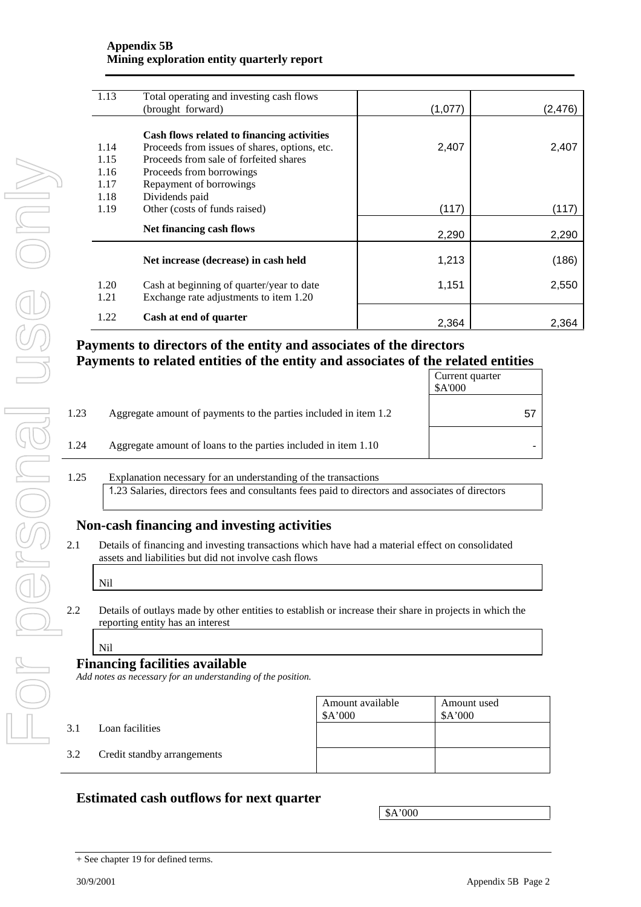#### **Appendix 5B Mining exploration entity quarterly report**

| 1.13         | Total operating and investing cash flows<br>(brought forward)                       | (1,077) | (2, 476) |
|--------------|-------------------------------------------------------------------------------------|---------|----------|
|              |                                                                                     |         |          |
|              | Cash flows related to financing activities                                          |         |          |
| 1.14         | Proceeds from issues of shares, options, etc.                                       | 2,407   | 2,407    |
| 1.15         | Proceeds from sale of forfeited shares                                              |         |          |
| 1.16         | Proceeds from borrowings                                                            |         |          |
| 1.17         | Repayment of borrowings                                                             |         |          |
| 1.18         | Dividends paid                                                                      |         |          |
| 1.19         | Other (costs of funds raised)                                                       | (117)   | (117)    |
|              | Net financing cash flows                                                            | 2,290   | 2,290    |
|              | Net increase (decrease) in cash held                                                | 1,213   | (186)    |
| 1.20<br>1.21 | Cash at beginning of quarter/year to date<br>Exchange rate adjustments to item 1.20 | 1,151   | 2,550    |
| 1.22         | Cash at end of quarter                                                              | 2.364   | 2.364    |

## **Payments to directors of the entity and associates of the directors Payments to related entities of the entity and associates of the related entities**

|                                                                          | Current quarter<br>\$A'000 |
|--------------------------------------------------------------------------|----------------------------|
| 1.23<br>Aggregate amount of payments to the parties included in item 1.2 | 57                         |
| 1.24<br>Aggregate amount of loans to the parties included in item 1.10   |                            |

#### 1.25 Explanation necessary for an understanding of the transactions 1.23 Salaries, directors fees and consultants fees paid to directors and associates of directors

# **Non-cash financing and investing activities**

- 2.1 Details of financing and investing transactions which have had a material effect on consolidated assets and liabilities but did not involve cash flows
	- Nil

2.2 Details of outlays made by other entities to establish or increase their share in projects in which the reporting entity has an interest

## Nil

### **Financing facilities available**

*Add notes as necessary for an understanding of the position.*

|     |                             | Amount available<br>\$A'000 | Amount used<br>\$A'000 |
|-----|-----------------------------|-----------------------------|------------------------|
| 3.1 | Loan facilities             |                             |                        |
| 3.2 | Credit standby arrangements |                             |                        |

## **Estimated cash outflows for next quarter**

\$A'000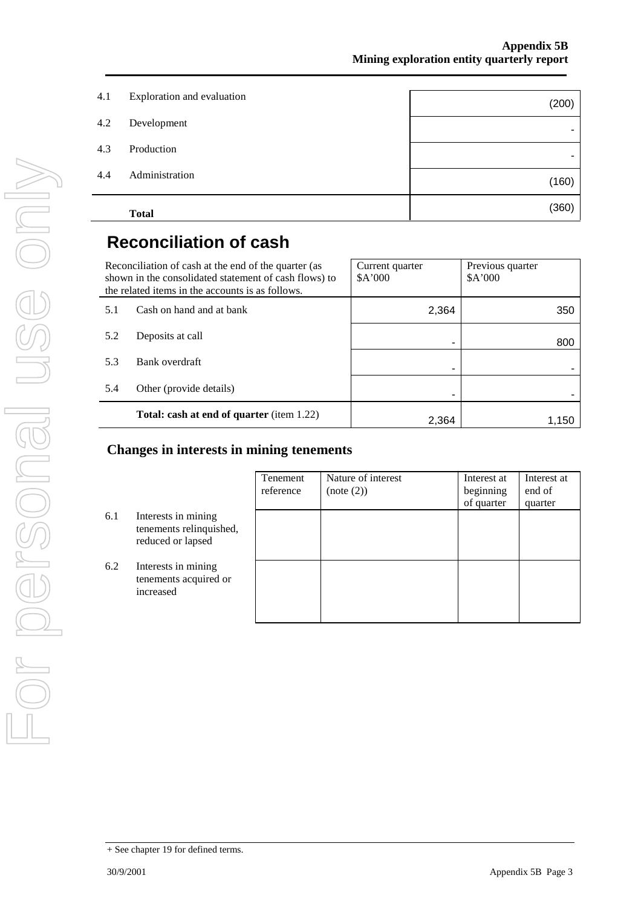|     | <b>Total</b>               | (360) |
|-----|----------------------------|-------|
| 4.4 | Administration             | (160) |
| 4.3 | Production                 | ٠     |
| 4.2 | Development                | ۰     |
| 4.1 | Exploration and evaluation | (200) |
|     |                            |       |

# **Reconciliation of cash**

|     | Reconciliation of cash at the end of the quarter (as<br>shown in the consolidated statement of cash flows) to<br>the related items in the accounts is as follows. | Current quarter<br>\$A'000 | Previous quarter<br>\$A'000 |
|-----|-------------------------------------------------------------------------------------------------------------------------------------------------------------------|----------------------------|-----------------------------|
| 5.1 | Cash on hand and at bank                                                                                                                                          | 2,364                      | 350                         |
| 5.2 | Deposits at call                                                                                                                                                  |                            | 800                         |
| 5.3 | Bank overdraft                                                                                                                                                    |                            |                             |
| 5.4 | Other (provide details)                                                                                                                                           |                            |                             |
|     | <b>Total: cash at end of quarter</b> (item 1.22)                                                                                                                  | 2.364                      | 1.150                       |

## **Changes in interests in mining tenements**

|     |                                                                     | Tenement<br>reference | Nature of interest<br>(note (2)) | Interest at<br>beginning<br>of quarter | Interest at<br>end of<br>quarter |
|-----|---------------------------------------------------------------------|-----------------------|----------------------------------|----------------------------------------|----------------------------------|
| 6.1 | Interests in mining<br>tenements relinquished,<br>reduced or lapsed |                       |                                  |                                        |                                  |
| 6.2 | Interests in mining<br>tenements acquired or<br>increased           |                       |                                  |                                        |                                  |

<sup>+</sup> See chapter 19 for defined terms.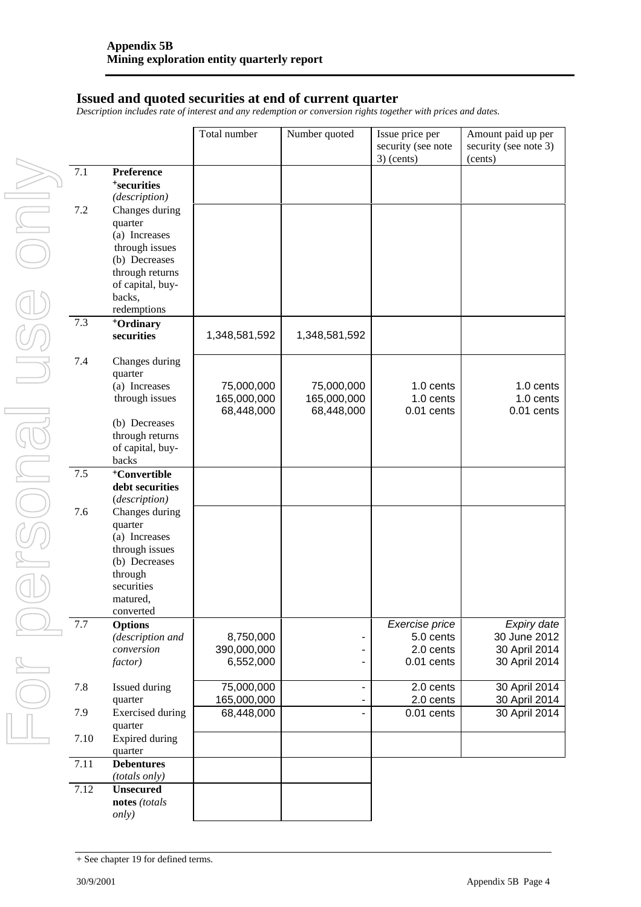### **Issued and quoted securities at end of current quarter**

*Description includes rate of interest and any redemption or conversion rights together with prices and dates.*

|         |                                     | Total number  | Number quoted            | Issue price per<br>security (see note<br>$3)$ (cents) | Amount paid up per<br>security (see note 3)<br>(cents) |
|---------|-------------------------------------|---------------|--------------------------|-------------------------------------------------------|--------------------------------------------------------|
| $7.1\,$ | Preference                          |               |                          |                                                       |                                                        |
|         | <sup>+</sup> securities             |               |                          |                                                       |                                                        |
|         | (description)                       |               |                          |                                                       |                                                        |
| $7.2\,$ | Changes during                      |               |                          |                                                       |                                                        |
|         | quarter                             |               |                          |                                                       |                                                        |
|         | (a) Increases                       |               |                          |                                                       |                                                        |
|         | through issues                      |               |                          |                                                       |                                                        |
|         | (b) Decreases                       |               |                          |                                                       |                                                        |
|         | through returns                     |               |                          |                                                       |                                                        |
|         | of capital, buy-                    |               |                          |                                                       |                                                        |
|         | backs,                              |               |                          |                                                       |                                                        |
|         | redemptions                         |               |                          |                                                       |                                                        |
| 7.3     | <sup>+</sup> Ordinary               |               |                          |                                                       |                                                        |
|         | securities                          | 1,348,581,592 | 1,348,581,592            |                                                       |                                                        |
| 7.4     | Changes during                      |               |                          |                                                       |                                                        |
|         | quarter                             |               |                          |                                                       |                                                        |
|         | (a) Increases                       | 75,000,000    | 75,000,000               | 1.0 cents                                             | 1.0 cents                                              |
|         | through issues                      | 165,000,000   | 165,000,000              | 1.0 cents                                             | 1.0 cents                                              |
|         |                                     | 68,448,000    | 68,448,000               | $0.01$ cents                                          | $0.01$ cents                                           |
|         | (b) Decreases                       |               |                          |                                                       |                                                        |
|         | through returns<br>of capital, buy- |               |                          |                                                       |                                                        |
|         | backs                               |               |                          |                                                       |                                                        |
| 7.5     | <sup>+</sup> Convertible            |               |                          |                                                       |                                                        |
|         | debt securities                     |               |                          |                                                       |                                                        |
|         | (description)                       |               |                          |                                                       |                                                        |
| 7.6     | Changes during                      |               |                          |                                                       |                                                        |
|         | quarter                             |               |                          |                                                       |                                                        |
|         | (a) Increases                       |               |                          |                                                       |                                                        |
|         | through issues                      |               |                          |                                                       |                                                        |
|         | (b) Decreases                       |               |                          |                                                       |                                                        |
|         | through                             |               |                          |                                                       |                                                        |
|         | securities                          |               |                          |                                                       |                                                        |
|         | matured,                            |               |                          |                                                       |                                                        |
|         | converted                           |               |                          |                                                       |                                                        |
| 7.7     | <b>Options</b>                      |               |                          | Exercise price                                        | Expiry date                                            |
|         | (description and                    | 8,750,000     |                          | 5.0 cents                                             | 30 June 2012                                           |
|         | conversion                          | 390,000,000   |                          | 2.0 cents                                             | 30 April 2014                                          |
|         | factor)                             | 6,552,000     |                          | 0.01 cents                                            | 30 April 2014                                          |
| 7.8     | Issued during                       | 75,000,000    | $\overline{\phantom{0}}$ | 2.0 cents                                             | 30 April 2014                                          |
|         | quarter                             | 165,000,000   |                          | 2.0 cents                                             | 30 April 2014                                          |
| 7.9     | <b>Exercised</b> during<br>quarter  | 68,448,000    | ÷.                       | 0.01 cents                                            | 30 April 2014                                          |
| 7.10    | <b>Expired during</b>               |               |                          |                                                       |                                                        |
|         | quarter                             |               |                          |                                                       |                                                        |
| 7.11    | <b>Debentures</b><br>(totals only)  |               |                          |                                                       |                                                        |
| 7.12    | <b>Unsecured</b>                    |               |                          |                                                       |                                                        |
|         | notes (totals                       |               |                          |                                                       |                                                        |
|         | <i>only</i> )                       |               |                          |                                                       |                                                        |

<sup>+</sup> See chapter 19 for defined terms.